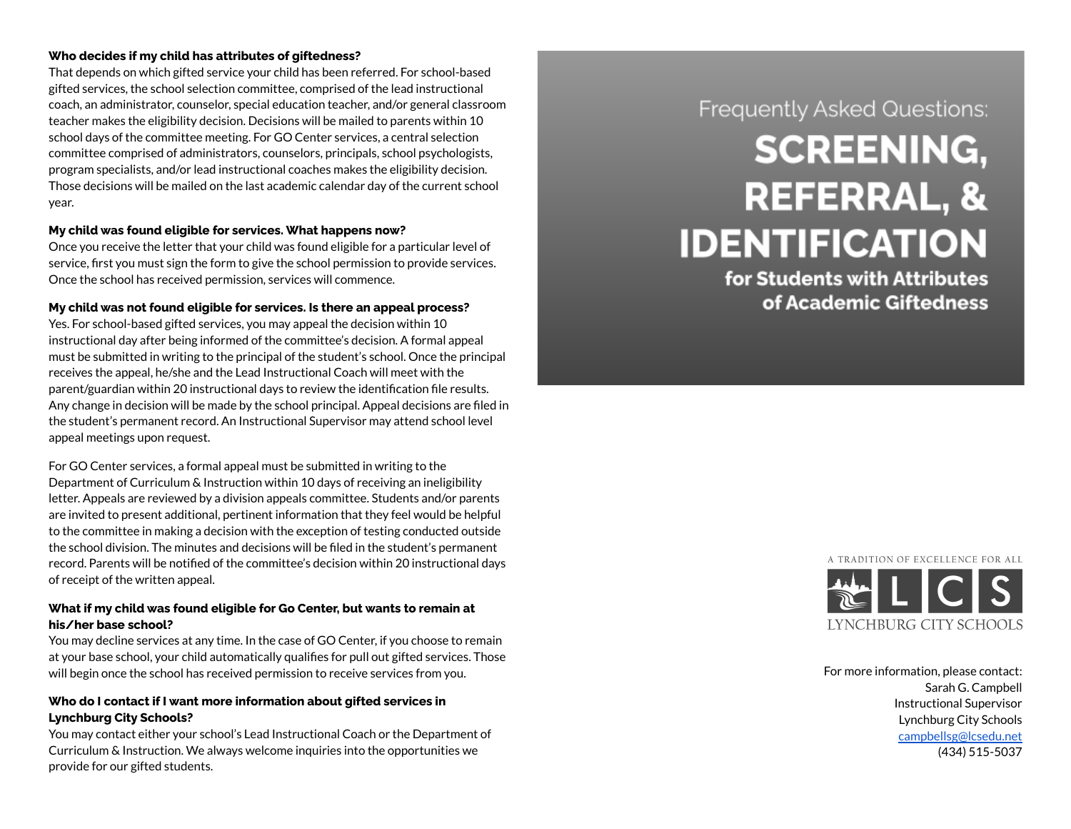#### Who decides if my child has attributes of giftedness?

That depends on which gifted service your child has been referred. For school-based gifted services, the school selection committee, comprised of the lead instructional coach, an administrator, counselor, special education teacher, and/or general classr o o m teacher makes the eligibility decision. Decisions will be mailed to parents within 10 school days of the committee meeting. For GO Center services, a central selection committee comprised of administrators, counselors, principals, school psychologists, program specialists, and/or lead instructional coaches makes the eligibility decision. Those decisions will be mailed on the last academic calendar day of the current school year.

#### **My child was found eligible for services. What happens now?**

Once you receive the letter that your child was found eligible for a particular level of service, first you must sign the form to give the school permission to provide services. Once the school has received permission, services will commence.

#### **My child was not found eligible for services. Is there an appeal process?**

Yes. For school-based gifted services, you may appeal the decision within 10 instructional day after being informed of the committee's decision. A formal appeal must be submitted in writing to the principal of the student's school. Once the principal receives the appeal, he/she and the Lead Instructional Coach will meet with the parent/guardian within 20 instructional days to review the identification file results. Any change in decision will be made by the school principal. Appeal decisions are filed in the student's permanent record. An Instructional Supervisor may attend school level appeal meetings upon request.

For GO Center services, a formal appeal must be submitted in writing to the Department of Curriculum & Instruction within 10 days of receiving an ineligibility letter. Appeals are reviewed by a division appeals committee. Students and/or parents are invited to present additional, pertinent information that they feel would be helpful to the committee in making a decision with the exception of testing conducted outside the school division. The minutes and decisions will be filed in the student's permanent record. Parents will be notified of the committee's decision within 20 instructional days of receipt of the written appeal.

## **What if my child was found eligible for Go Center, but wants to remain at his/her base school?**

You may decline services at any time. In the case of GO Center, if you choose to remain at your base school, your child automatically qualifies for pull out gifted services. Those will begin once the school has received permission to receive services from you.

## **Who do I contact if I want more information about gifted services in Lynchburg City Schools?**

You may contact either your school's Lead Instructional Coach or the Department of Curriculum & Instruction. We always welcome inquiries into the opportunities we will begin once the school has received permission to receive services from you.<br> **Who do I contact if I want more information about gifted services in**<br> **Lynchburg City Schools?**<br>
You may contact either your school's Lead

# Frequently Asked Questions:

# **SCREENING, REFERRAL, & IDENTIFICATION**

for Students with Attributes of Academic Giftedness



or more information, please contact: Sarah G. Campbell Instructional Supervisor Lynchburg City Schools [campbellsg@lcsedu.net](mailto:campbellsg@lcsedu.net) (434) 515-5037